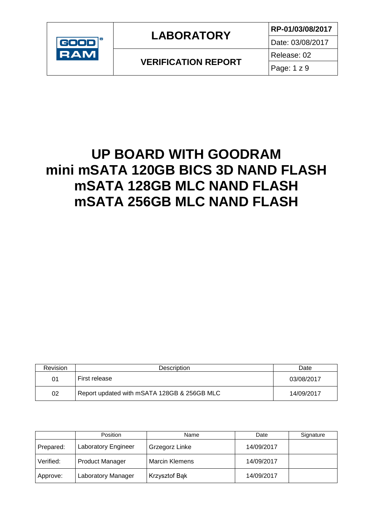

**VERIFICATION REPORT**

Date: 03/08/2017

Page: 1 z 9

Release: 02

## **UP BOARD WITH GOODRAM mini mSATA 120GB BICS 3D NAND FLASH mSATA 128GB MLC NAND FLASH mSATA 256GB MLC NAND FLASH**

| Revision | <b>Description</b>                          | Date       |
|----------|---------------------------------------------|------------|
| 01       | First release                               | 03/08/2017 |
| 02       | Report updated with mSATA 128GB & 256GB MLC | 14/09/2017 |

|           | Position               | Name                  | Date       | Signature |
|-----------|------------------------|-----------------------|------------|-----------|
| Prepared: | Laboratory Engineer    | Grzegorz Linke        | 14/09/2017 |           |
| Verified: | <b>Product Manager</b> | <b>Marcin Klemens</b> | 14/09/2017 |           |
| Approve:  | Laboratory Manager     | Krzysztof Bąk         | 14/09/2017 |           |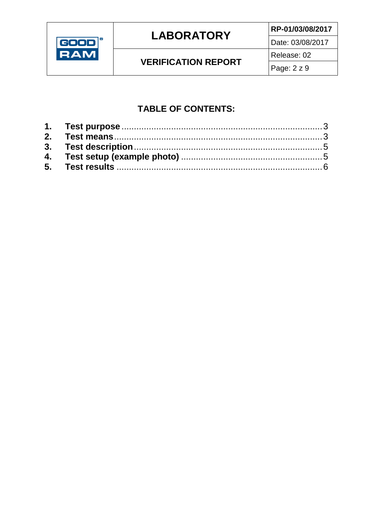

### **LABORATORY**

**VERIFICATION REPORT** 

RP-01/03/08/2017 Date: 03/08/2017 Release: 02

### **TABLE OF CONTENTS:**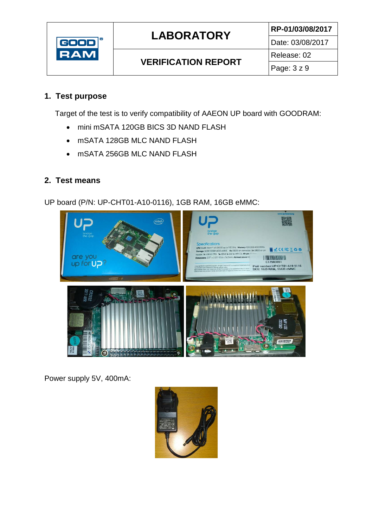

**VERIFICATION REPORT**

Date: 03/08/2017

Release: 02 Page: 3 z 9

#### <span id="page-2-0"></span>**1. Test purpose**

Target of the test is to verify compatibility of AAEON UP board with GOODRAM:

- mini mSATA 120GB BICS 3D NAND FLASH
- mSATA 128GB MLC NAND FLASH
- mSATA 256GB MLC NAND FLASH

#### <span id="page-2-1"></span>**2. Test means**

UP board (P/N: UP-CHT01-A10-0116), 1GB RAM, 16GB eMMC:



Power supply 5V, 400mA:

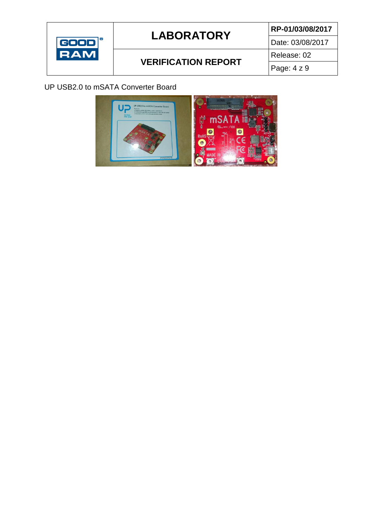

### **VERIFICATION REPORT**

Date: 03/08/2017 Release: 02

Page: 4 z 9

#### UP USB2.0 to mSATA Converter Board

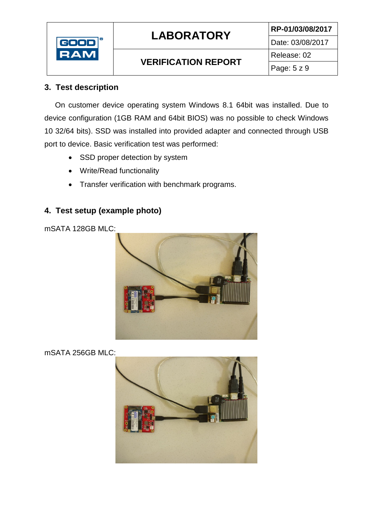

### **VERIFICATION REPORT**

Date: 03/08/2017 Release: 02

#### <span id="page-4-0"></span>**3. Test description**

On customer device operating system Windows 8.1 64bit was installed. Due to device configuration (1GB RAM and 64bit BIOS) was no possible to check Windows 10 32/64 bits). SSD was installed into provided adapter and connected through USB port to device. Basic verification test was performed:

- SSD proper detection by system
- Write/Read functionality
- Transfer verification with benchmark programs.

### <span id="page-4-1"></span>**4. Test setup (example photo)**

mSATA 128GB MLC:



mSATA 256GB MLC:

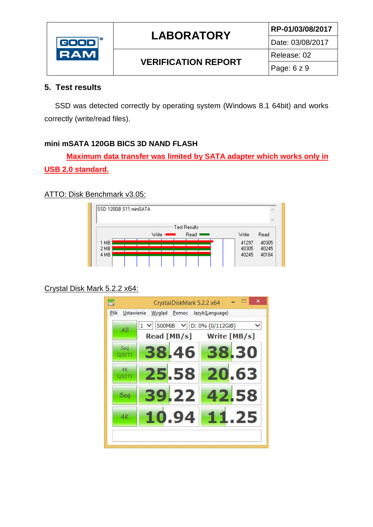

### **VERIFICATION REPORT**

Date: 03/08/2017

Release: 02 Page: 6 z 9

#### <span id="page-5-0"></span>**5. Test results**

SSD was detected correctly by operating system (Windows 8.1 64bit) and works correctly (write/read files).

#### **mini mSATA 120GB BICS 3D NAND FLASH**

**Maximum data transfer was limited by SATA adapter which works only in USB 2.0 standard.**

#### ATTO: Disk Benchmark v3.05:

|              | ISSD 120GB S11 miniSATA |       |              |       |                             |
|--------------|-------------------------|-------|--------------|-------|-----------------------------|
|              |                         |       |              |       | $\mathcal{L}_{\mathcal{A}}$ |
|              |                         |       | Test Results |       |                             |
|              |                         | Write | Read .       | Write | Read                        |
| 1 MB<br>2 MB |                         |       |              | 41297 | 40305                       |
|              |                         |       |              | 40305 | 40245                       |
| 4 MB         |                         |       |              | 40245 | 40184                       |
|              |                         |       |              |       |                             |

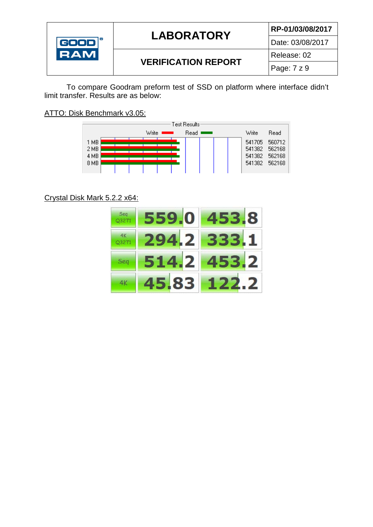

#### Date: 03/08/2017

### **VERIFICATION REPORT**

Release: 02 Page: 7 z 9

To compare Goodram preform test of SSD on platform where interface didn't limit transfer. Results are as below:

ATTO: Disk Benchmark v3.05:



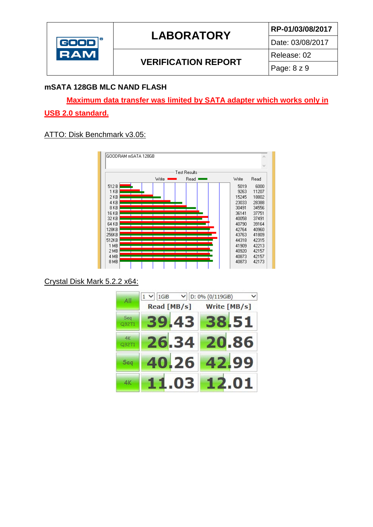

Date: 03/08/2017

### **VERIFICATION REPORT**

Release: 02 Page: 8 z 9

#### **mSATA 128GB MLC NAND FLASH**

**Maximum data transfer was limited by SATA adapter which works only in USB 2.0 standard.**

#### ATTO: Disk Benchmark v3.05: